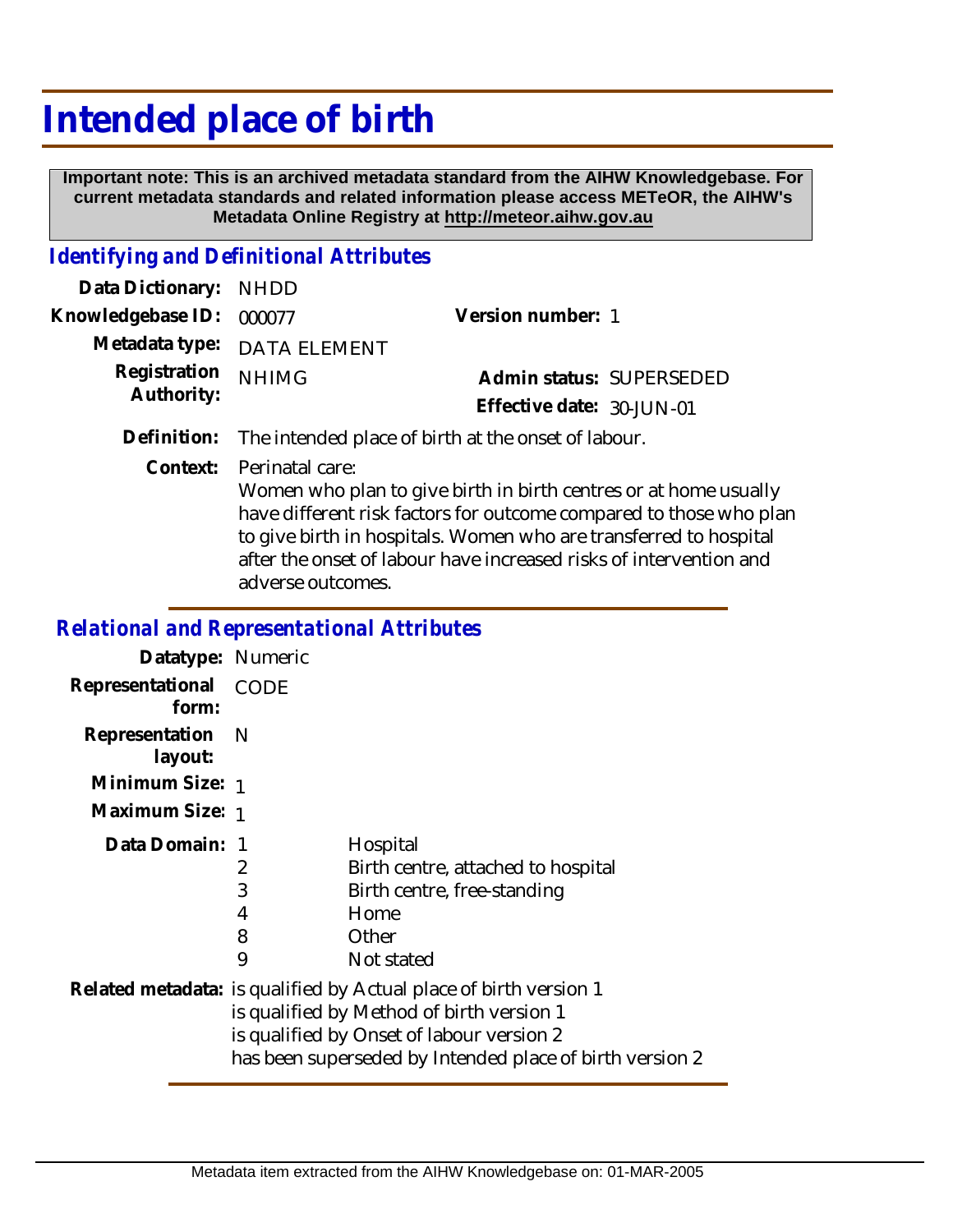## **Intended place of birth**

 **Important note: This is an archived metadata standard from the AIHW Knowledgebase. For current metadata standards and related information please access METeOR, the AIHW's Metadata Online Registry at http://meteor.aihw.gov.au**

## *Identifying and Definitional Attributes*

| Data Dictionary: NHDD      |                             |                           |  |
|----------------------------|-----------------------------|---------------------------|--|
| Knowledgebase ID: 000077   |                             | Version number: 1         |  |
|                            | Metadata type: DATA ELEMENT |                           |  |
| Registration<br>Authority: | <b>NHIMG</b>                | Admin status: SUPERSEDED  |  |
|                            |                             | Effective date: 30-JUN-01 |  |
|                            |                             |                           |  |

**Definition:** The intended place of birth at the onset of labour.

Perinatal care: **Context:**

> Women who plan to give birth in birth centres or at home usually have different risk factors for outcome compared to those who plan to give birth in hospitals. Women who are transferred to hospital after the onset of labour have increased risks of intervention and adverse outcomes.

## *Relational and Representational Attributes*

| Datatype: Numeric           |                                                                                                                                                                                                                         |                                                                                                              |
|-----------------------------|-------------------------------------------------------------------------------------------------------------------------------------------------------------------------------------------------------------------------|--------------------------------------------------------------------------------------------------------------|
| Representational<br>form:   | CODE                                                                                                                                                                                                                    |                                                                                                              |
| Representation N<br>layout: |                                                                                                                                                                                                                         |                                                                                                              |
| Minimum Size: 1             |                                                                                                                                                                                                                         |                                                                                                              |
| Maximum Size: 1             |                                                                                                                                                                                                                         |                                                                                                              |
| Data Domain: 1              | 2<br>3<br>$\overline{4}$<br>8<br>9                                                                                                                                                                                      | Hospital<br>Birth centre, attached to hospital<br>Birth centre, free-standing<br>Home<br>Other<br>Not stated |
|                             | Related metadata: is qualified by Actual place of birth version 1<br>is qualified by Method of birth version 1<br>is qualified by Onset of labour version 2<br>has been superseded by Intended place of birth version 2 |                                                                                                              |